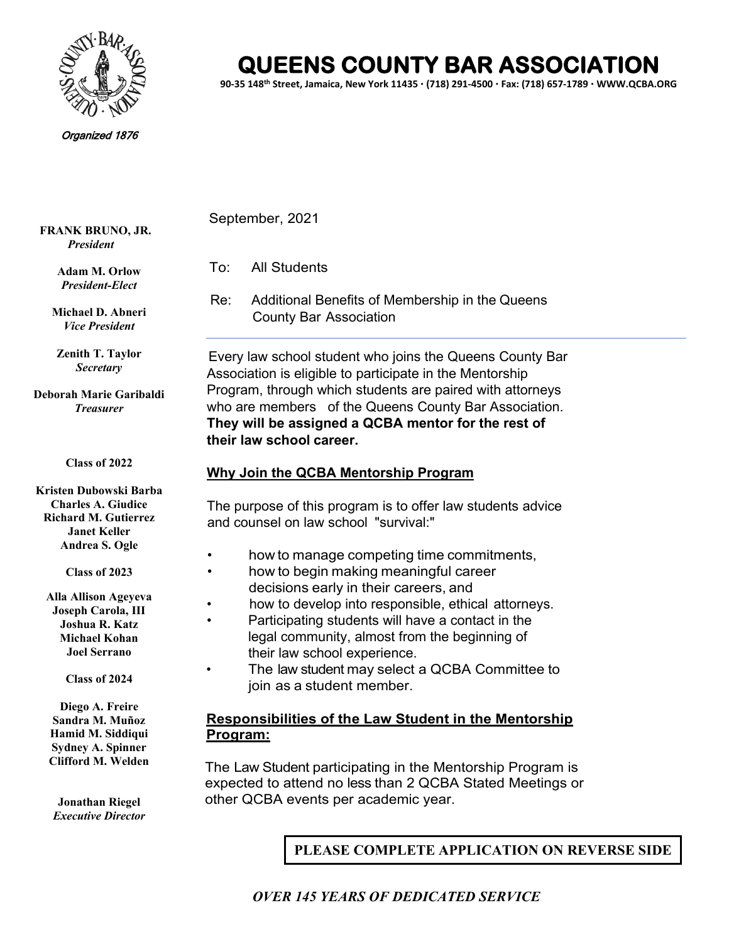

# **QUEENS COUNTY BAR ASSOCIATION**

**90-35 148th Street, Jamaica, New York 11435 (718) 291-4500 Fax: (718) 657-1789 WWW.QCBA.ORG**

#### Organized 1876

September, 2021

To: All Students

Re: Additional Benefits of Membership in the Queens County Bar Association

Every law school student who joins the Queens County Bar Association is eligible to participate in the Mentorship Program, through which students are paired with attorneys who are members of the Queens County Bar Association. **They will be assigned a QCBA mentor for the rest of their law school career.**

### **Why Join the QCBA Mentorship Program**

The purpose of this program is to offer law students advice and counsel on law school "survival:"

- how to manage competing time commitments,
- how to begin making meaningful career decisions early in their careers, and
- how to develop into responsible, ethical attorneys.
- Participating students will have a contact in the
- legal community, almost from the beginning of their law school experience.
- The law student may select a QCBA Committee to join as a student member.

## **Responsibilities of the Law Student in the Mentorship Program:**

The Law Student participating in the Mentorship Program is expected to attend no less than 2 QCBA Stated Meetings or other QCBA events per academic year.

**PLEASE COMPLETE APPLICATION ON REVERSE SIDE**

**Adam M. Orlow** *President-Elect*

**Michael D. Abneri** *Vice President*

**FRANK BRUNO, JR.** *President*

> **Zenith T. Taylor** *Secretary*

**Deborah Marie Garibaldi** *Treasurer*

#### **Class of 2022**

**Kristen Dubowski Barba Charles A. Giudice Richard M. Gutierrez Janet Keller Andrea S. Ogle**

**Class of 2023**

**Alla Allison Ageyeva Joseph Carola, III Joshua R. Katz Michael Kohan Joel Serrano**

**Class of 2024**

**Diego A. Freire Sandra M. Muñoz Hamid M. Siddiqui Sydney A. Spinner Clifford M. Welden**

**Jonathan Riegel** *Executive Director*

 *OVER 145 YEARS OF DEDICATED SERVICE*